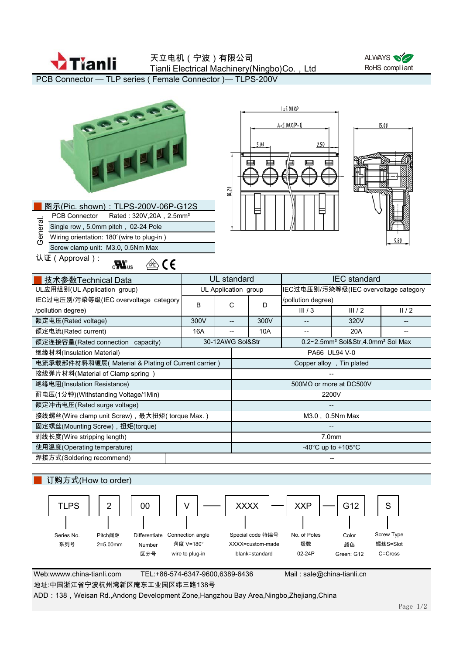

天立电机(宁波)有限公司 Tianli Electrical Machinery(Ningbo)Co., Ltd



PCB Connector — TLP series ( Female Connector )— TLPS-200V

| OCEE<br>NNN<br>图示(Pic. shown): TLPS-200V-06P-G12S<br>Rated: 320V, 20A, 2.5mm <sup>2</sup><br><b>PCB Connector</b><br>General.<br>Single row, 5.0mm pitch, 02-24 Pole<br>Wiring orientation: 180° (wire to plug-in)<br>Screw clamp unit: M3.0, 0.5Nm Max<br>认证(Approval):<br>∕ ∕ ∕<br>$\mathbf{c}$ $\mathbf{M}$ <sub>us</sub> |                      | 18.20             |                                          | 5.00                                                      | $L = 5.00XP$<br>$A = 5.00X/P - 1$<br>2.50 |       | 15.00<br>5.80 |  |
|------------------------------------------------------------------------------------------------------------------------------------------------------------------------------------------------------------------------------------------------------------------------------------------------------------------------------|----------------------|-------------------|------------------------------------------|-----------------------------------------------------------|-------------------------------------------|-------|---------------|--|
| 技术参数Technical Data                                                                                                                                                                                                                                                                                                           | <b>UL</b> standard   |                   |                                          |                                                           | <b>IEC</b> standard                       |       |               |  |
| UL应用组别(UL Application group)                                                                                                                                                                                                                                                                                                 | UL Application group |                   |                                          |                                                           | IEC过电压别/污染等级(IEC overvoltage category     |       |               |  |
| IEC过电压别/污染等级(IEC overvoltage category                                                                                                                                                                                                                                                                                        | B                    | C                 |                                          | D                                                         | /pollution degree)                        |       |               |  |
| /pollution degree)                                                                                                                                                                                                                                                                                                           |                      |                   |                                          |                                                           | III/3                                     | III/2 | II/2          |  |
| 额定电压(Rated voltage)                                                                                                                                                                                                                                                                                                          | 300V                 | $\qquad \qquad -$ |                                          | 300V                                                      | $\overline{\phantom{0}}$                  | 320V  |               |  |
| 额定电流(Rated current)                                                                                                                                                                                                                                                                                                          | 16A                  | --                |                                          | 10A                                                       |                                           | 20A   |               |  |
| 额定连接容量(Rated connection capacity)                                                                                                                                                                                                                                                                                            | 30-12AWG Sol&Str     |                   |                                          | 0.2~2.5mm <sup>2</sup> Sol&Str,4.0mm <sup>2</sup> Sol Max |                                           |       |               |  |
| 绝缘材料(Insulation Material)                                                                                                                                                                                                                                                                                                    |                      |                   | PA66 UL94 V-0                            |                                                           |                                           |       |               |  |
| 电流承载部件材料和镀层(Material & Plating of Current carrier)                                                                                                                                                                                                                                                                           |                      |                   | Copper alloy, Tin plated                 |                                                           |                                           |       |               |  |
| 接线弹片材料(Material of Clamp spring )                                                                                                                                                                                                                                                                                            |                      |                   |                                          |                                                           |                                           |       |               |  |
| 绝缘电阻(Insulation Resistance)                                                                                                                                                                                                                                                                                                  |                      |                   | 500MQ or more at DC500V                  |                                                           |                                           |       |               |  |
| 耐电压(1分钟)(Withstanding Voltage/1Min)                                                                                                                                                                                                                                                                                          |                      |                   | 2200V                                    |                                                           |                                           |       |               |  |
| 额定冲击电压(Rated surge voltage)                                                                                                                                                                                                                                                                                                  |                      |                   |                                          |                                                           |                                           |       |               |  |
| 接线螺丝(Wire clamp unit Screw), 最大扭矩(torque Max.)                                                                                                                                                                                                                                                                               |                      |                   | M3.0, 0.5Nm Max                          |                                                           |                                           |       |               |  |
| 固定螺丝(Mounting Screw), 扭矩(torque)                                                                                                                                                                                                                                                                                             |                      |                   |                                          |                                                           |                                           |       |               |  |
| 剥线长度(Wire stripping length)                                                                                                                                                                                                                                                                                                  |                      |                   | 7.0mm                                    |                                                           |                                           |       |               |  |
| 使用温度(Operating temperature)                                                                                                                                                                                                                                                                                                  |                      |                   | -40 $^{\circ}$ C up to +105 $^{\circ}$ C |                                                           |                                           |       |               |  |
| 焊接方式(Soldering recommend)                                                                                                                                                                                                                                                                                                    |                      |                   |                                          |                                                           |                                           |       |               |  |
| 订购方式(How to order)<br><b>XXXX</b>                                                                                                                                                                                                                                                                                            |                      |                   |                                          |                                                           |                                           |       |               |  |
| <b>TLPS</b><br>$\overline{2}$<br>00                                                                                                                                                                                                                                                                                          |                      |                   |                                          |                                                           | <b>XXP</b>                                | G12   | S             |  |

Web:wwww.china-tianli.com TEL:+86-574-6347-9600,6389-6436 Mail : sale@china-tianli.cn Series No. 系列号 Pitch间距 2=5.00mm Differentiate Connection angle Number 区分号 No. of Poles 极数 02-24P Color 颜色 Green: G12 Special code 特编号 XXXX=custom-made blank=standard 角度 V=180° wire to plug-in

Screw Type 螺丝S=Slot C=Cross

地址:中国浙江省宁波杭州湾新区庵东工业园区纬三路138号

ADD: 138, Weisan Rd.,Andong Development Zone,Hangzhou Bay Area,Ningbo,Zhejiang,China